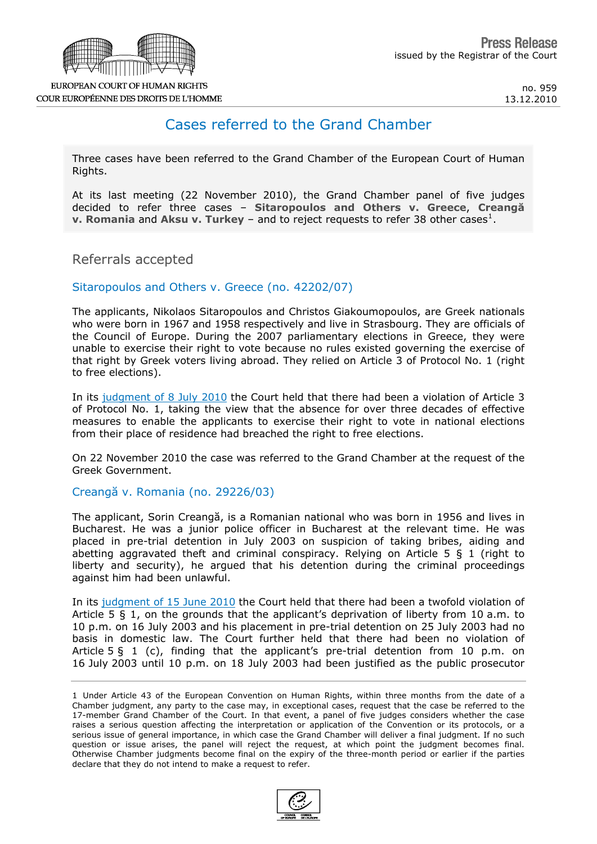

## Cases referred to the Grand Chamber

Three cases have been referred to the Grand Chamber of the European Court of Human Rights.

At its last meeting (22 November 2010), the Grand Chamber panel of five judges decided to refer three cases – **Sitaropoulos and Others v. Greece**, **Creangă v. Romania** and Aksu v. Turkey – and to reject requests to refer 38 other cases<sup>[1](#page-0-0)</sup>.

Referrals accepted

## Sitaropoulos and Others v. Greece (no. 42202/07)

The applicants, Nikolaos Sitaropoulos and Christos Giakoumopoulos, are Greek nationals who were born in 1967 and 1958 respectively and live in Strasbourg. They are officials of the Council of Europe. During the 2007 parliamentary elections in Greece, they were unable to exercise their right to vote because no rules existed governing the exercise of that right by Greek voters living abroad. They relied on Article 3 of Protocol No. 1 (right to free elections).

In its [judgment of 8 July 2010](http://cmiskp.echr.coe.int/tkp197/view.asp?action=html&documentId=871043&portal=hbkm&source=externalbydocnumber&table=F69A27FD8FB86142BF01C1166DEA398649) the Court held that there had been a violation of Article 3 of Protocol No. 1, taking the view that the absence for over three decades of effective measures to enable the applicants to exercise their right to vote in national elections from their place of residence had breached the right to free elections.

On 22 November 2010 the case was referred to the Grand Chamber at the request of the Greek Government.

## Creangă v. Romania (no. 29226/03)

The applicant, Sorin Creangă, is a Romanian national who was born in 1956 and lives in Bucharest. He was a junior police officer in Bucharest at the relevant time. He was placed in pre-trial detention in July 2003 on suspicion of taking bribes, aiding and abetting aggravated theft and criminal conspiracy. Relying on Article 5  $\S$  1 (right to liberty and security), he argued that his detention during the criminal proceedings against him had been unlawful.

In its [judgment of 15 June 2010](http://cmiskp.echr.coe.int/tkp197/view.asp?action=html&documentId=869946&portal=hbkm&source=externalbydocnumber&table=F69A27FD8FB86142BF01C1166DEA398649) the Court held that there had been a twofold violation of Article 5 § 1, on the grounds that the applicant's deprivation of liberty from 10 a.m. to 10 p.m. on 16 July 2003 and his placement in pre-trial detention on 25 July 2003 had no basis in domestic law. The Court further held that there had been no violation of Article  $5 \xi$  1 (c), finding that the applicant's pre-trial detention from 10 p.m. on 16 July 2003 until 10 p.m. on 18 July 2003 had been justified as the public prosecutor

<span id="page-0-0"></span><sup>1</sup> Under Article 43 of the European Convention on Human Rights, within three months from the date of a Chamber judgment, any party to the case may, in exceptional cases, request that the case be referred to the 17-member Grand Chamber of the Court. In that event, a panel of five judges considers whether the case raises a serious question affecting the interpretation or application of the Convention or its protocols, or a serious issue of general importance, in which case the Grand Chamber will deliver a final judgment. If no such question or issue arises, the panel will reject the request, at which point the judgment becomes final. Otherwise Chamber judgments become final on the expiry of the three-month period or earlier if the parties declare that they do not intend to make a request to refer.

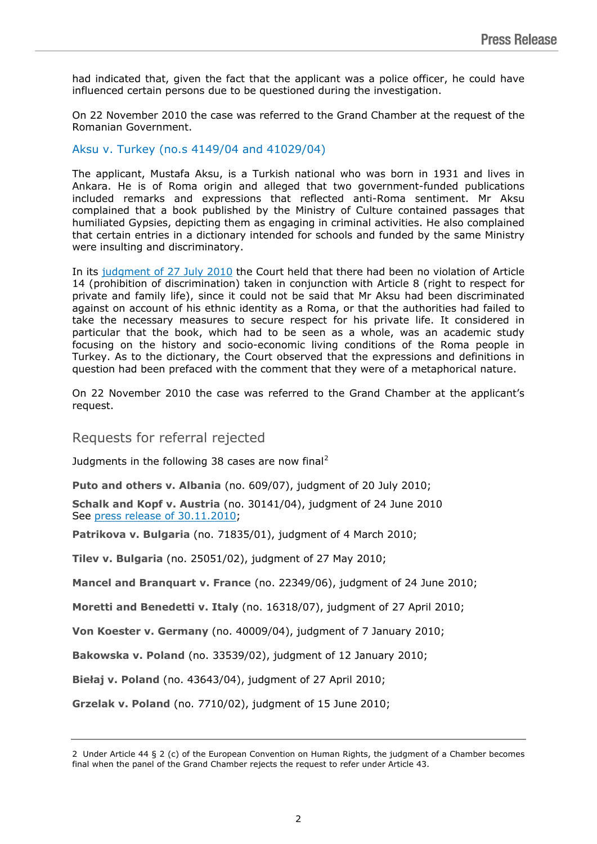had indicated that, given the fact that the applicant was a police officer, he could have influenced certain persons due to be questioned during the investigation.

On 22 November 2010 the case was referred to the Grand Chamber at the request of the Romanian Government.

Aksu v. Turkey (no.s 4149/04 and 41029/04)

The applicant, Mustafa Aksu, is a Turkish national who was born in 1931 and lives in Ankara. He is of Roma origin and alleged that two government-funded publications included remarks and expressions that reflected anti-Roma sentiment. Mr Aksu complained that a book published by the Ministry of Culture contained passages that humiliated Gypsies, depicting them as engaging in criminal activities. He also complained that certain entries in a dictionary intended for schools and funded by the same Ministry were insulting and discriminatory.

In its [judgment of 27 July 2010](http://cmiskp.echr.coe.int/tkp197/view.asp?action=html&documentId=871931&portal=hbkm&source=externalbydocnumber&table=F69A27FD8FB86142BF01C1166DEA398649) the Court held that there had been no violation of Article 14 (prohibition of discrimination) taken in conjunction with Article 8 (right to respect for private and family life), since it could not be said that Mr Aksu had been discriminated against on account of his ethnic identity as a Roma, or that the authorities had failed to take the necessary measures to secure respect for his private life. It considered in particular that the book, which had to be seen as a whole, was an academic study focusing on the history and socio-economic living conditions of the Roma people in Turkey. As to the dictionary, the Court observed that the expressions and definitions in question had been prefaced with the comment that they were of a metaphorical nature.

On 22 November 2010 the case was referred to the Grand Chamber at the applicant's request.

Requests for referral rejected

Judgments in the following 38 cases are now final<sup>[2](#page-1-0)</sup>

**Puto and others v. Albania** (no. 609/07), judgment of 20 July 2010;

**Schalk and Kopf v. Austria** (no. 30141/04), judgment of 24 June 2010 See [press release of 30.11.2010;](http://cmiskp.echr.coe.int/tkp197/view.asp?action=open&documentId=877588&portal=hbkm&source=externalbydocnumber&table=F69A27FD8FB86142BF01C1166DEA398649)

**Patrikova v. Bulgaria** (no. 71835/01), judgment of 4 March 2010;

**Tilev v. Bulgaria** (no. 25051/02), judgment of 27 May 2010;

**Mancel and Branquart v. France** (no. 22349/06), judgment of 24 June 2010;

**Moretti and Benedetti v. Italy** (no. 16318/07), judgment of 27 April 2010;

**Von Koester v. Germany** (no. 40009/04), judgment of 7 January 2010;

**Bakowska v. Poland** (no. 33539/02), judgment of 12 January 2010;

**Biełaj v. Poland** (no. 43643/04), judgment of 27 April 2010;

**Grzelak v. Poland** (no. 7710/02), judgment of 15 June 2010;

<span id="page-1-0"></span><sup>2</sup> Under Article 44 § 2 (c) of the European Convention on Human Rights, the judgment of a Chamber becomes final when the panel of the Grand Chamber rejects the request to refer under Article 43.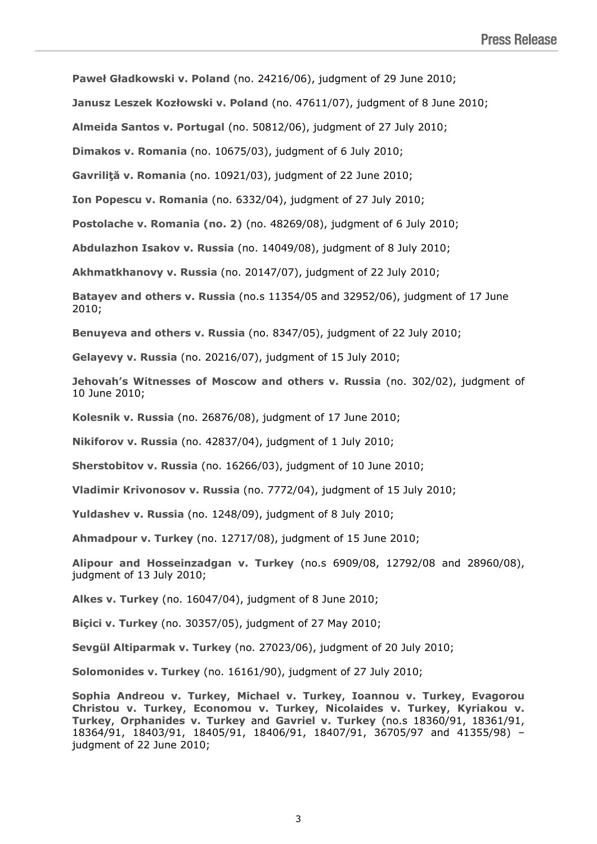**Paweł Gładkowski v. Poland** (no. 24216/06), judgment of 29 June 2010;

**Janusz Leszek Kozłowski v. Poland** (no. 47611/07), judgment of 8 June 2010;

**Almeida Santos v. Portugal** (no. 50812/06), judgment of 27 July 2010;

**Dimakos v. Romania** (no. 10675/03), judgment of 6 July 2010;

**Gavriliţă v. Romania** (no. 10921/03), judgment of 22 June 2010;

**Ion Popescu v. Romania** (no. 6332/04), judgment of 27 July 2010;

**Postolache v. Romania (no. 2)** (no. 48269/08), judgment of 6 July 2010;

**Abdulazhon Isakov v. Russia** (no. 14049/08), judgment of 8 July 2010;

**Akhmatkhanovy v. Russia** (no. 20147/07), judgment of 22 July 2010;

**Batayev and others v. Russia** (no.s 11354/05 and 32952/06), judgment of 17 June 2010;

**Benuyeva and others v. Russia** (no. 8347/05), judgment of 22 July 2010;

**Gelayevy v. Russia** (no. 20216/07), judgment of 15 July 2010;

**Jehovah's Witnesses of Moscow and others v. Russia** (no. 302/02), judgment of 10 June 2010;

**Kolesnik v. Russia** (no. 26876/08), judgment of 17 June 2010;

**Nikiforov v. Russia** (no. 42837/04), judgment of 1 July 2010;

**Sherstobitov v. Russia** (no. 16266/03), judgment of 10 June 2010;

**Vladimir Krivonosov v. Russia** (no. 7772/04), judgment of 15 July 2010;

**Yuldashev v. Russia** (no. 1248/09), judgment of 8 July 2010;

**Ahmadpour v. Turkey** (no. 12717/08), judgment of 15 June 2010;

**Alipour and Hosseinzadgan v. Turkey** (no.s 6909/08, 12792/08 and 28960/08), judgment of 13 July 2010;

**Alkes v. Turkey** (no. 16047/04), judgment of 8 June 2010;

**Biçici v. Turkey** (no. 30357/05), judgment of 27 May 2010;

**Sevgül Altiparmak v. Turkey** (no. 27023/06), judgment of 20 July 2010;

**Solomonides v. Turkey** (no. 16161/90), judgment of 27 July 2010;

**Sophia Andreou v. Turkey**, **Michael v. Turkey**, **Ioannou v. Turkey**, **Evagorou Christou v. Turkey**, **Economou v. Turkey**, **Nicolaides v. Turkey**, **Kyriakou v. Turkey**, **Orphanides v. Turkey** and **Gavriel v. Turkey** (no.s 18360/91, 18361/91, 18364/91, 18403/91, 18405/91, 18406/91, 18407/91, 36705/97 and 41355/98) – judgment of 22 June 2010;